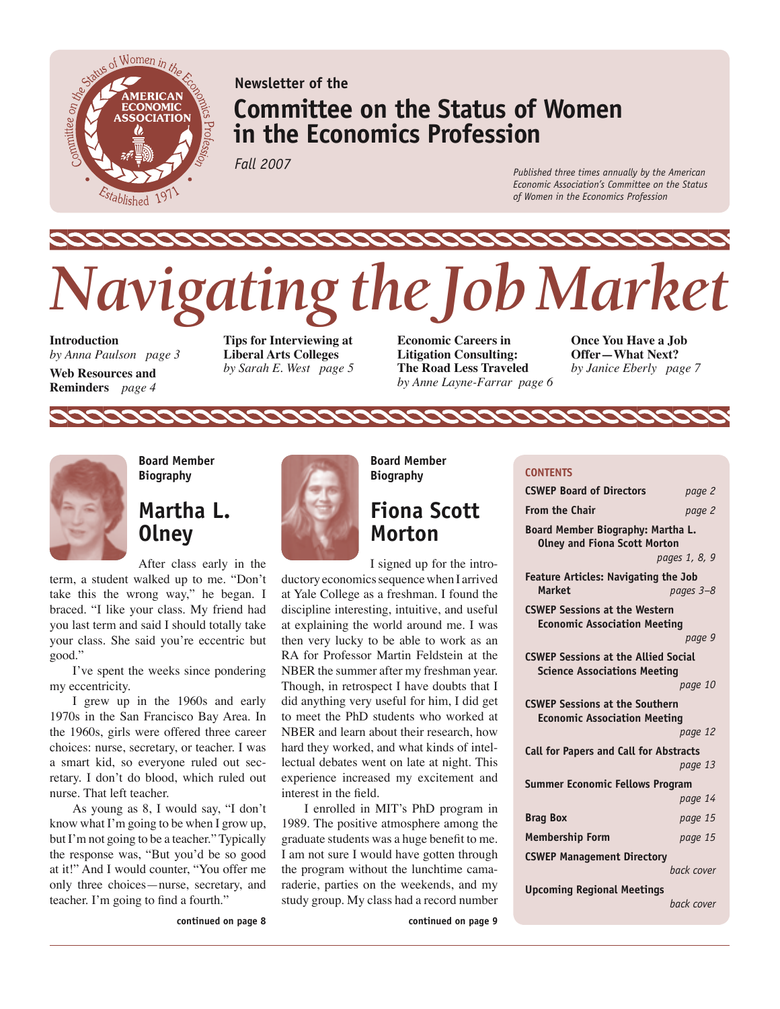

# **Newsletter of the Committee on the Status of Women in the Economics Profession**

*Fall 2007*

*Published three times annually by the American Economic Association's Committee on the Status of Women in the Economics Profession*

# *Navigating the Job Market*

**Introduction**  *by Anna Paulson page 3*

**Web Resources and Reminders** *page 4*

**Tips for Interviewing at Liberal Arts Colleges** *by Sarah E. West page 5* **Economic Careers in Litigation Consulting: The Road Less Traveled**  *by Anne Layne-Farrar page 6*

**CONTENTS**

**Once You Have a Job Offer—What Next?**  *by Janice Eberly page 7*



**Board Member Biography**

# **Martha L. Olney**

After class early in the

term, a student walked up to me. "Don't take this the wrong way," he began. I braced. "I like your class. My friend had you last term and said I should totally take your class. She said you're eccentric but good."

I've spent the weeks since pondering my eccentricity.

I grew up in the 1960s and early 1970s in the San Francisco Bay Area. In the 1960s, girls were offered three career choices: nurse, secretary, or teacher. I was a smart kid, so everyone ruled out secretary. I don't do blood, which ruled out nurse. That left teacher.

As young as 8, I would say, "I don't know what I'm going to be when I grow up, but I'm not going to be a teacher." Typically the response was, "But you'd be so good at it!" And I would counter, "You offer me only three choices—nurse, secretary, and teacher. I'm going to find a fourth."



22222

**Board Member Biography**

# **Fiona Scott Morton**

I signed up for the introductory economics sequence when I arrived at Yale College as a freshman. I found the discipline interesting, intuitive, and useful at explaining the world around me. I was then very lucky to be able to work as an RA for Professor Martin Feldstein at the NBER the summer after my freshman year. Though, in retrospect I have doubts that I

did anything very useful for him, I did get to meet the PhD students who worked at NBER and learn about their research, how hard they worked, and what kinds of intellectual debates went on late at night. This experience increased my excitement and interest in the field.

I enrolled in MIT's PhD program in 1989. The positive atmosphere among the graduate students was a huge benefit to me. I am not sure I would have gotten through the program without the lunchtime camaraderie, parties on the weekends, and my study group. My class had a record number

**continued on page 9**

**CSWEP Board of Directors** *page 2* **From the Chair** *page 2* **Board Member Biography: Martha L. Olney and Fiona Scott Morton** *pages 1, 8, 9* **Feature Articles: Navigating the Job Market** *pages 3–8* **CSWEP Sessions at the Western Economic Association Meeting** *page 9* **CSWEP Sessions at the Allied Social Science Associations Meeting** *page 10* **CSWEP Sessions at the Southern Economic Association Meeting** *page 12* **Call for Papers and Call for Abstracts** *page 13* **Summer Economic Fellows Program** *page 14* **Brag Box** *page 15* **Membership Form** *page 15* **CSWEP Management Directory** *back cover* **Upcoming Regional Meetings** *back cover*

**continued on page 8**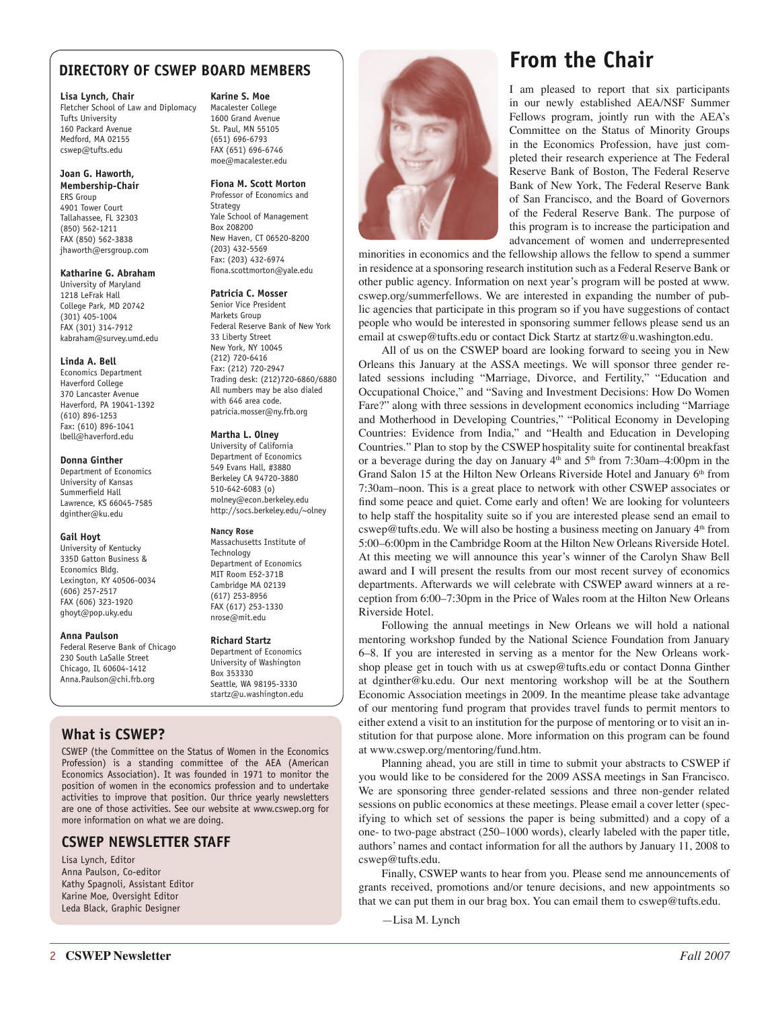## **DIRECTORY OF CSWEP BOARD MEMBERS**

#### **Lisa Lynch, Chair**

Fletcher School of Law and Diplomacy Tufts University 160 Packard Avenue Medford, MA 02155 cswep@tufts.edu

#### **Joan G. Haworth, Membership-Chair** ERS Group 4901 Tower Court

Tallahassee, FL 32303 (850) 562-1211 FAX (850) 562-3838 jhaworth@ersgroup.com

#### **Katharine G. Abraham**

University of Maryland 1218 LeFrak Hall College Park, MD 20742 (301) 405-1004 FAX (301) 314-7912 kabraham@survey.umd.edu

#### **Linda A. Bell**

Economics Department Haverford College 370 Lancaster Avenue Haverford, PA 19041-1392 (610) 896-1253 Fax: (610) 896-1041 lbell@haverford.edu

#### **Donna Ginther**

Department of Economics University of Kansas Summerfield Hall Lawrence, KS 66045-7585 dginther@ku.edu

#### **Gail Hoyt**

University of Kentucky 335D Gatton Business & Economics Bldg. Lexington, KY 40506-0034 (606) 257-2517 FAX (606) 323-1920 ghoyt@pop.uky.edu

#### **Anna Paulson**

Federal Reserve Bank of Chicago 230 South LaSalle Street Chicago, IL 60604-1412 Anna.Paulson@chi.frb.org

## **What is CSWEP?**

CSWEP (the Committee on the Status of Women in the Economics Profession) is a standing committee of the AEA (American Economics Association). It was founded in 1971 to monitor the position of women in the economics profession and to undertake activities to improve that position. Our thrice yearly newsletters are one of those activities. See our website at www.cswep.org for more information on what we are doing.

## **CSWEP NEWSLETTER STAFF**

Lisa Lynch, Editor Anna Paulson, Co-editor Kathy Spagnoli, Assistant Editor Karine Moe, Oversight Editor Leda Black, Graphic Designer

#### **Karine S. Moe**

Macalester College 1600 Grand Avenue St. Paul, MN 55105 (651) 696-6793 FAX (651) 696-6746 moe@macalester.edu

#### **Fiona M. Scott Morton**

Professor of Economics and **Strategy** Yale School of Management Box 208200 New Haven, CT 06520-8200 (203) 432-5569 Fax: (203) 432-6974 fiona.scottmorton@yale.edu

#### **Patricia C. Mosser**

Senior Vice President Markets Group Federal Reserve Bank of New York 33 Liberty Street New York, NY 10045 (212) 720-6416 Fax: (212) 720-2947 Trading desk: (212)720-6860/6880 All numbers may be also dialed with 646 area code. patricia.mosser@ny.frb.org

#### **Martha L. Olney**

University of California Department of Economics 549 Evans Hall, #3880 Berkeley CA 94720-3880 510-642-6083 (o) molney@econ.berkeley.edu http://socs.berkeley.edu/~olney

#### **Nancy Rose**

Massachusetts Institute of Technology Department of Economics MIT Room E52-371B Cambridge MA 02139 (617) 253-8956 FAX (617) 253-1330 nrose@mit.edu

#### **Richard Startz**

Department of Economics University of Washington Box 353330 Seattle, WA 98195-3330 startz@u.washington.edu



# **From the Chair**

I am pleased to report that six participants in our newly established AEA/NSF Summer Fellows program, jointly run with the AEA's Committee on the Status of Minority Groups in the Economics Profession, have just completed their research experience at The Federal Reserve Bank of Boston, The Federal Reserve Bank of New York, The Federal Reserve Bank of San Francisco, and the Board of Governors of the Federal Reserve Bank. The purpose of this program is to increase the participation and advancement of women and underrepresented

minorities in economics and the fellowship allows the fellow to spend a summer in residence at a sponsoring research institution such as a Federal Reserve Bank or other public agency. Information on next year's program will be posted at www. cswep.org/summerfellows. We are interested in expanding the number of public agencies that participate in this program so if you have suggestions of contact people who would be interested in sponsoring summer fellows please send us an email at cswep@tufts.edu or contact Dick Startz at startz@u.washington.edu.

All of us on the CSWEP board are looking forward to seeing you in New Orleans this January at the ASSA meetings. We will sponsor three gender related sessions including "Marriage, Divorce, and Fertility," "Education and Occupational Choice," and "Saving and Investment Decisions: How Do Women Fare?" along with three sessions in development economics including "Marriage and Motherhood in Developing Countries," "Political Economy in Developing Countries: Evidence from India," and "Health and Education in Developing Countries." Plan to stop by the CSWEP hospitality suite for continental breakfast or a beverage during the day on January  $4<sup>th</sup>$  and  $5<sup>th</sup>$  from 7:30am–4:00pm in the Grand Salon 15 at the Hilton New Orleans Riverside Hotel and January  $6<sup>th</sup>$  from 7:30am–noon. This is a great place to network with other CSWEP associates or find some peace and quiet. Come early and often! We are looking for volunteers to help staff the hospitality suite so if you are interested please send an email to cswep@tufts.edu. We will also be hosting a business meeting on January  $4<sup>th</sup>$  from 5:00–6:00pm in the Cambridge Room at the Hilton New Orleans Riverside Hotel. At this meeting we will announce this year's winner of the Carolyn Shaw Bell award and I will present the results from our most recent survey of economics departments. Afterwards we will celebrate with CSWEP award winners at a reception from 6:00–7:30pm in the Price of Wales room at the Hilton New Orleans Riverside Hotel.

Following the annual meetings in New Orleans we will hold a national mentoring workshop funded by the National Science Foundation from January 6–8. If you are interested in serving as a mentor for the New Orleans workshop please get in touch with us at cswep@tufts.edu or contact Donna Ginther at dginther@ku.edu. Our next mentoring workshop will be at the Southern Economic Association meetings in 2009. In the meantime please take advantage of our mentoring fund program that provides travel funds to permit mentors to either extend a visit to an institution for the purpose of mentoring or to visit an institution for that purpose alone. More information on this program can be found at www.cswep.org/mentoring/fund.htm.

Planning ahead, you are still in time to submit your abstracts to CSWEP if you would like to be considered for the 2009 ASSA meetings in San Francisco. We are sponsoring three gender-related sessions and three non-gender related sessions on public economics at these meetings. Please email a cover letter (specifying to which set of sessions the paper is being submitted) and a copy of a one- to two-page abstract (250–1000 words), clearly labeled with the paper title, authors' names and contact information for all the authors by January 11, 2008 to cswep@tufts.edu.

Finally, CSWEP wants to hear from you. Please send me announcements of grants received, promotions and/or tenure decisions, and new appointments so that we can put them in our brag box. You can email them to cswep@tufts.edu.

—Lisa M. Lynch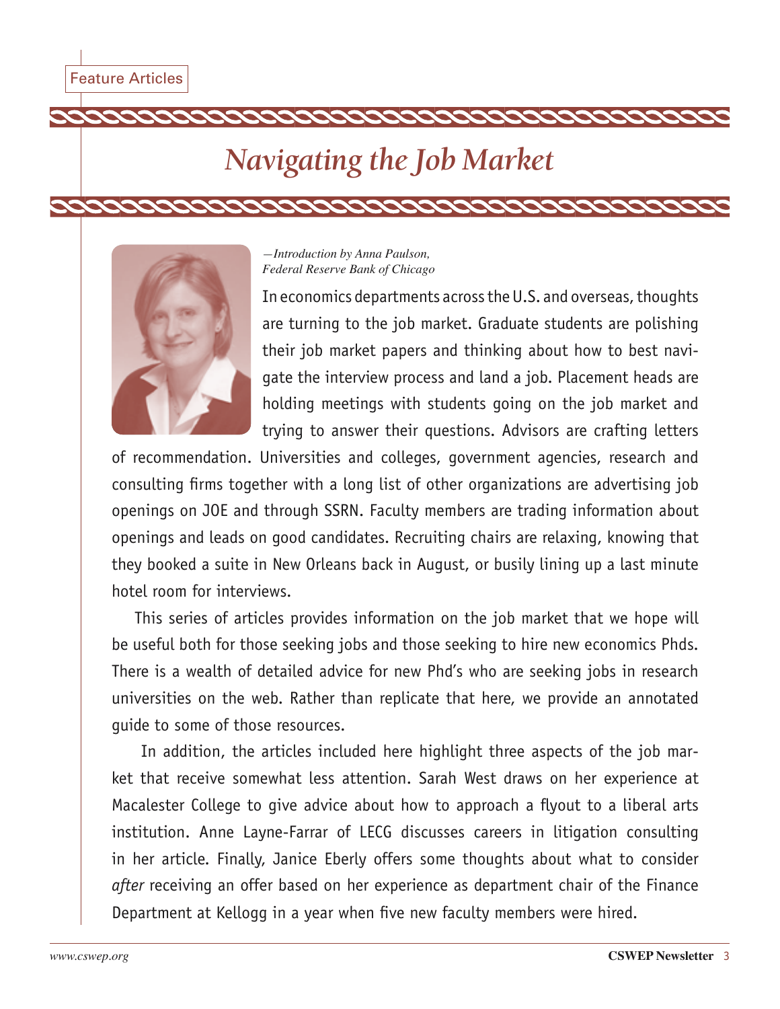# *Navigating the Job Market*



## *—Introduction by Anna Paulson, Federal Reserve Bank of Chicago*

In economics departments across the U.S. and overseas, thoughts are turning to the job market. Graduate students are polishing their job market papers and thinking about how to best navigate the interview process and land a job. Placement heads are holding meetings with students going on the job market and trying to answer their questions. Advisors are crafting letters

2222222222

of recommendation. Universities and colleges, government agencies, research and consulting firms together with a long list of other organizations are advertising job openings on JOE and through SSRN. Faculty members are trading information about openings and leads on good candidates. Recruiting chairs are relaxing, knowing that they booked a suite in New Orleans back in August, or busily lining up a last minute hotel room for interviews.

This series of articles provides information on the job market that we hope will be useful both for those seeking jobs and those seeking to hire new economics Phds. There is a wealth of detailed advice for new Phd's who are seeking jobs in research universities on the web. Rather than replicate that here, we provide an annotated guide to some of those resources.

 In addition, the articles included here highlight three aspects of the job market that receive somewhat less attention. Sarah West draws on her experience at Macalester College to give advice about how to approach a flyout to a liberal arts institution. Anne Layne-Farrar of LECG discusses careers in litigation consulting in her article. Finally, Janice Eberly offers some thoughts about what to consider *after* receiving an offer based on her experience as department chair of the Finance Department at Kellogg in a year when five new faculty members were hired.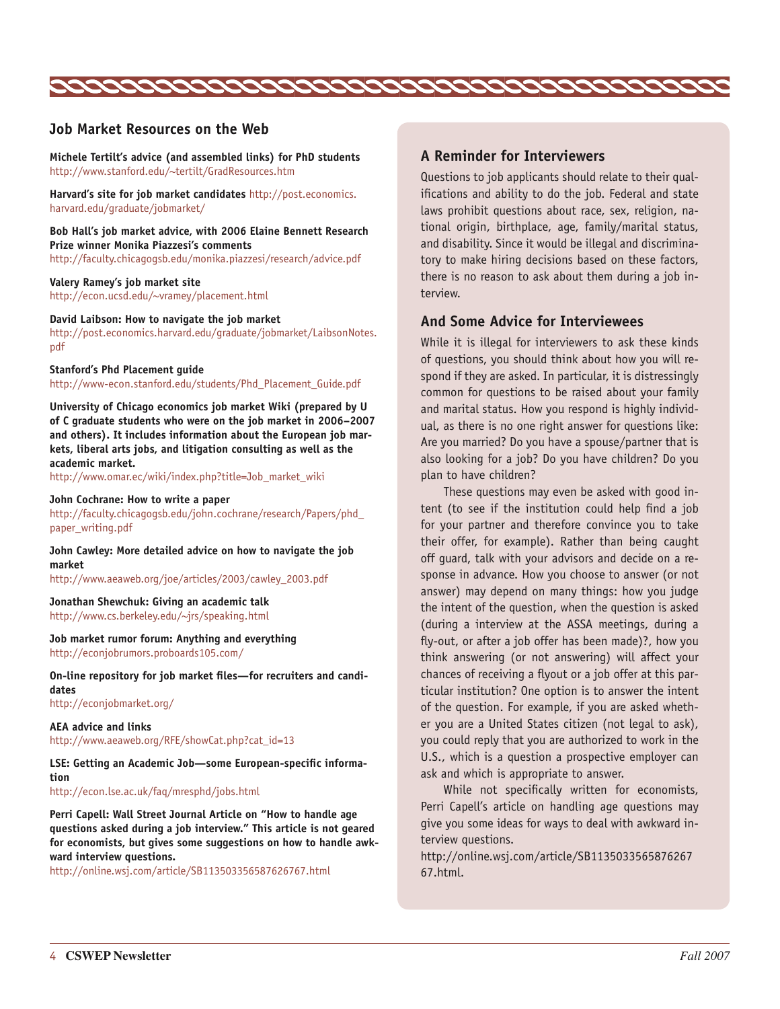

## **Job Market Resources on the Web**

**Michele Tertilt's advice (and assembled links) for PhD students** http://www.stanford.edu/~tertilt/GradResources.htm

**Harvard's site for job market candidates** http://post.economics. harvard.edu/graduate/jobmarket/

**Bob Hall's job market advice, with 2006 Elaine Bennett Research Prize winner Monika Piazzesi's comments** http://faculty.chicagogsb.edu/monika.piazzesi/research/advice.pdf

**Valery Ramey's job market site** http://econ.ucsd.edu/~vramey/placement.html

#### **David Laibson: How to navigate the job market**

http://post.economics.harvard.edu/graduate/jobmarket/LaibsonNotes. pdf

#### **Stanford's Phd Placement guide**

http://www-econ.stanford.edu/students/Phd\_Placement\_Guide.pdf

**University of Chicago economics job market Wiki (prepared by U of C graduate students who were on the job market in 2006–2007 and others). It includes information about the European job markets, liberal arts jobs, and litigation consulting as well as the academic market.**

http://www.omar.ec/wiki/index.php?title=Job\_market\_wiki

#### **John Cochrane: How to write a paper**

http://faculty.chicagogsb.edu/john.cochrane/research/Papers/phd\_ paper\_writing.pdf

**John Cawley: More detailed advice on how to navigate the job market**

http://www.aeaweb.org/joe/articles/2003/cawley\_2003.pdf

**Jonathan Shewchuk: Giving an academic talk** http://www.cs.berkeley.edu/~jrs/speaking.html

**Job market rumor forum: Anything and everything** http://econjobrumors.proboards105.com/

**On-line repository for job market files—for recruiters and candidates**

http://econjobmarket.org/

**AEA advice and links** http://www.aeaweb.org/RFE/showCat.php?cat\_id=13

**LSE: Getting an Academic Job—some European-specific information**

http://econ.lse.ac.uk/faq/mresphd/jobs.html

**Perri Capell: Wall Street Journal Article on "How to handle age questions asked during a job interview." This article is not geared for economists, but gives some suggestions on how to handle awkward interview questions.**

http://online.wsj.com/article/SB113503356587626767.html

#### **A Reminder for Interviewers**

Questions to job applicants should relate to their qualifications and ability to do the job. Federal and state laws prohibit questions about race, sex, religion, national origin, birthplace, age, family/marital status, and disability. Since it would be illegal and discriminatory to make hiring decisions based on these factors, there is no reason to ask about them during a job interview.

#### **And Some Advice for Interviewees**

While it is illegal for interviewers to ask these kinds of questions, you should think about how you will respond if they are asked. In particular, it is distressingly common for questions to be raised about your family and marital status. How you respond is highly individual, as there is no one right answer for questions like: Are you married? Do you have a spouse/partner that is also looking for a job? Do you have children? Do you plan to have children?

These questions may even be asked with good intent (to see if the institution could help find a job for your partner and therefore convince you to take their offer, for example). Rather than being caught off guard, talk with your advisors and decide on a response in advance. How you choose to answer (or not answer) may depend on many things: how you judge the intent of the question, when the question is asked (during a interview at the ASSA meetings, during a fly-out, or after a job offer has been made)?, how you think answering (or not answering) will affect your chances of receiving a flyout or a job offer at this particular institution? One option is to answer the intent of the question. For example, if you are asked whether you are a United States citizen (not legal to ask), you could reply that you are authorized to work in the U.S., which is a question a prospective employer can ask and which is appropriate to answer.

While not specifically written for economists, Perri Capell's article on handling age questions may give you some ideas for ways to deal with awkward interview questions.

http://online.wsj.com/article/SB1135033565876267 67.html.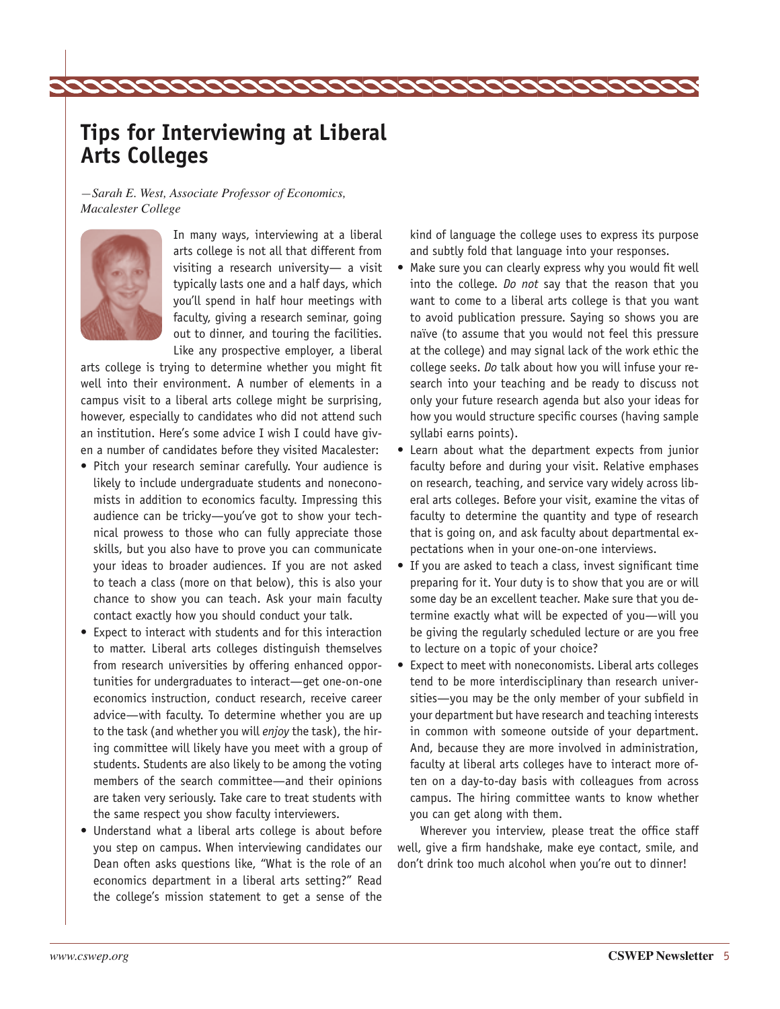# **Tips for Interviewing at Liberal Arts Colleges**

*—Sarah E. West, Associate Professor of Economics, Macalester College*



In many ways, interviewing at a liberal arts college is not all that different from visiting a research university— a visit typically lasts one and a half days, which you'll spend in half hour meetings with faculty, giving a research seminar, going out to dinner, and touring the facilities. Like any prospective employer, a liberal

arts college is trying to determine whether you might fit well into their environment. A number of elements in a campus visit to a liberal arts college might be surprising, however, especially to candidates who did not attend such an institution. Here's some advice I wish I could have given a number of candidates before they visited Macalester:

- Pitch your research seminar carefully. Your audience is likely to include undergraduate students and noneconomists in addition to economics faculty. Impressing this audience can be tricky—you've got to show your technical prowess to those who can fully appreciate those skills, but you also have to prove you can communicate your ideas to broader audiences. If you are not asked to teach a class (more on that below), this is also your chance to show you can teach. Ask your main faculty contact exactly how you should conduct your talk.
- Expect to interact with students and for this interaction to matter. Liberal arts colleges distinguish themselves from research universities by offering enhanced opportunities for undergraduates to interact—get one-on-one economics instruction, conduct research, receive career advice—with faculty. To determine whether you are up to the task (and whether you will *enjoy* the task), the hiring committee will likely have you meet with a group of students. Students are also likely to be among the voting members of the search committee—and their opinions are taken very seriously. Take care to treat students with the same respect you show faculty interviewers.
- Understand what a liberal arts college is about before you step on campus. When interviewing candidates our Dean often asks questions like, "What is the role of an economics department in a liberal arts setting?" Read the college's mission statement to get a sense of the

kind of language the college uses to express its purpose and subtly fold that language into your responses.

- Make sure you can clearly express why you would fit well into the college. *Do not* say that the reason that you want to come to a liberal arts college is that you want to avoid publication pressure. Saying so shows you are naïve (to assume that you would not feel this pressure at the college) and may signal lack of the work ethic the college seeks. *Do* talk about how you will infuse your research into your teaching and be ready to discuss not only your future research agenda but also your ideas for how you would structure specific courses (having sample syllabi earns points).
- Learn about what the department expects from junior faculty before and during your visit. Relative emphases on research, teaching, and service vary widely across liberal arts colleges. Before your visit, examine the vitas of faculty to determine the quantity and type of research that is going on, and ask faculty about departmental expectations when in your one-on-one interviews.
- If you are asked to teach a class, invest significant time preparing for it. Your duty is to show that you are or will some day be an excellent teacher. Make sure that you determine exactly what will be expected of you—will you be giving the regularly scheduled lecture or are you free to lecture on a topic of your choice?
- Expect to meet with noneconomists. Liberal arts colleges tend to be more interdisciplinary than research universities—you may be the only member of your subfield in your department but have research and teaching interests in common with someone outside of your department. And, because they are more involved in administration, faculty at liberal arts colleges have to interact more often on a day-to-day basis with colleagues from across campus. The hiring committee wants to know whether you can get along with them.

Wherever you interview, please treat the office staff well, give a firm handshake, make eye contact, smile, and don't drink too much alcohol when you're out to dinner!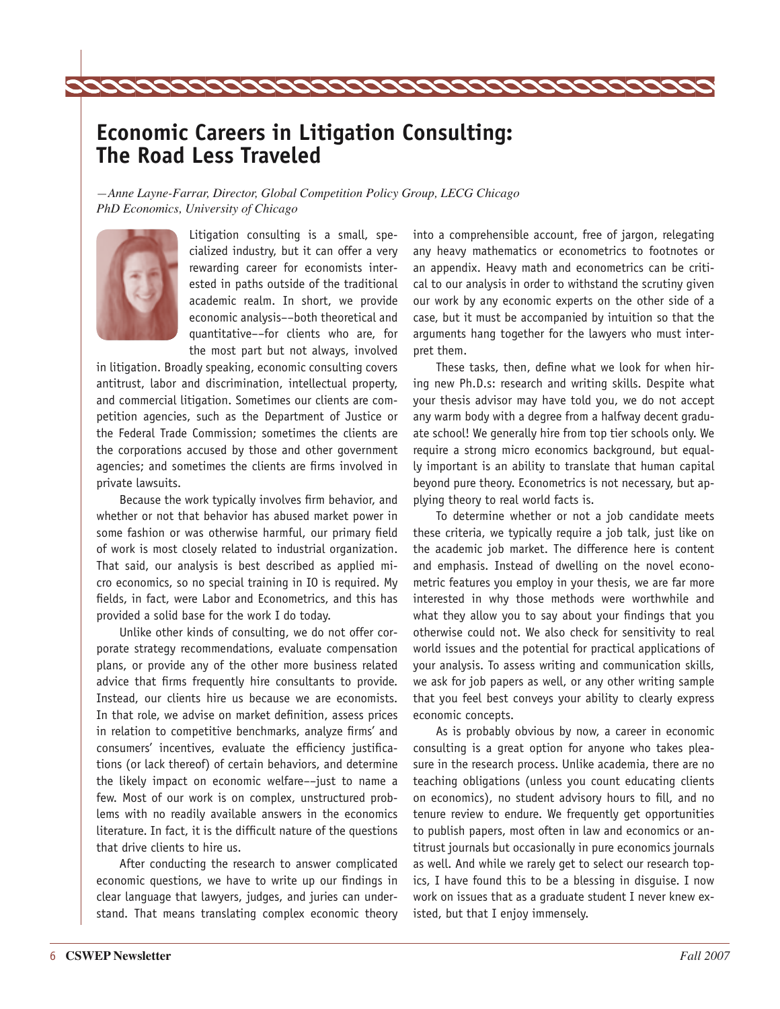# **Economic Careers in Litigation Consulting: The Road Less Traveled**

*—Anne Layne-Farrar, Director, Global Competition Policy Group, LECG Chicago PhD Economics, University of Chicago* 



Litigation consulting is a small, specialized industry, but it can offer a very rewarding career for economists interested in paths outside of the traditional academic realm. In short, we provide economic analysis––both theoretical and quantitative––for clients who are, for the most part but not always, involved

in litigation. Broadly speaking, economic consulting covers antitrust, labor and discrimination, intellectual property, and commercial litigation. Sometimes our clients are competition agencies, such as the Department of Justice or the Federal Trade Commission; sometimes the clients are the corporations accused by those and other government agencies; and sometimes the clients are firms involved in private lawsuits.

Because the work typically involves firm behavior, and whether or not that behavior has abused market power in some fashion or was otherwise harmful, our primary field of work is most closely related to industrial organization. That said, our analysis is best described as applied micro economics, so no special training in IO is required. My fields, in fact, were Labor and Econometrics, and this has provided a solid base for the work I do today.

Unlike other kinds of consulting, we do not offer corporate strategy recommendations, evaluate compensation plans, or provide any of the other more business related advice that firms frequently hire consultants to provide. Instead, our clients hire us because we are economists. In that role, we advise on market definition, assess prices in relation to competitive benchmarks, analyze firms' and consumers' incentives, evaluate the efficiency justifications (or lack thereof) of certain behaviors, and determine the likely impact on economic welfare––just to name a few. Most of our work is on complex, unstructured problems with no readily available answers in the economics literature. In fact, it is the difficult nature of the questions that drive clients to hire us.

After conducting the research to answer complicated economic questions, we have to write up our findings in clear language that lawyers, judges, and juries can understand. That means translating complex economic theory into a comprehensible account, free of jargon, relegating any heavy mathematics or econometrics to footnotes or an appendix. Heavy math and econometrics can be critical to our analysis in order to withstand the scrutiny given our work by any economic experts on the other side of a case, but it must be accompanied by intuition so that the arguments hang together for the lawyers who must interpret them.

These tasks, then, define what we look for when hiring new Ph.D.s: research and writing skills. Despite what your thesis advisor may have told you, we do not accept any warm body with a degree from a halfway decent graduate school! We generally hire from top tier schools only. We require a strong micro economics background, but equally important is an ability to translate that human capital beyond pure theory. Econometrics is not necessary, but applying theory to real world facts is.

To determine whether or not a job candidate meets these criteria, we typically require a job talk, just like on the academic job market. The difference here is content and emphasis. Instead of dwelling on the novel econometric features you employ in your thesis, we are far more interested in why those methods were worthwhile and what they allow you to say about your findings that you otherwise could not. We also check for sensitivity to real world issues and the potential for practical applications of your analysis. To assess writing and communication skills, we ask for job papers as well, or any other writing sample that you feel best conveys your ability to clearly express economic concepts.

As is probably obvious by now, a career in economic consulting is a great option for anyone who takes pleasure in the research process. Unlike academia, there are no teaching obligations (unless you count educating clients on economics), no student advisory hours to fill, and no tenure review to endure. We frequently get opportunities to publish papers, most often in law and economics or antitrust journals but occasionally in pure economics journals as well. And while we rarely get to select our research topics, I have found this to be a blessing in disguise. I now work on issues that as a graduate student I never knew existed, but that I enjoy immensely.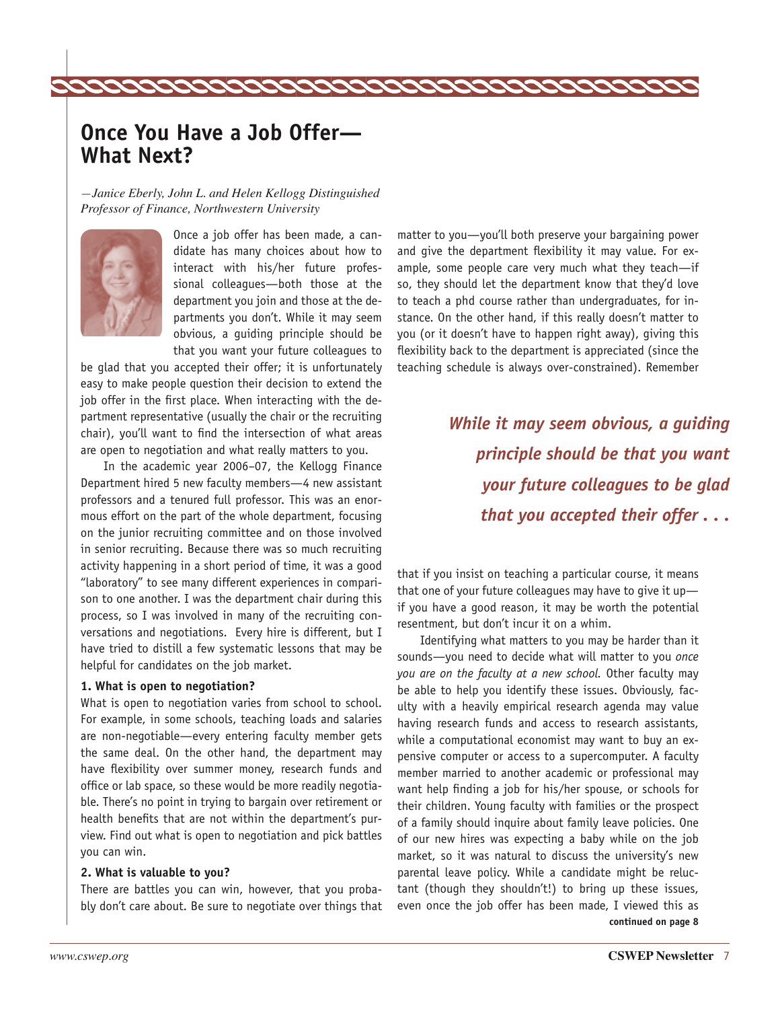# **Once You Have a Job Offer— What Next?**

*—Janice Eberly, John L. and Helen Kellogg Distinguished Professor of Finance, Northwestern University* 



Once a job offer has been made, a candidate has many choices about how to interact with his/her future professional colleagues—both those at the department you join and those at the departments you don't. While it may seem obvious, a guiding principle should be that you want your future colleagues to

be glad that you accepted their offer; it is unfortunately easy to make people question their decision to extend the job offer in the first place. When interacting with the department representative (usually the chair or the recruiting chair), you'll want to find the intersection of what areas are open to negotiation and what really matters to you.

In the academic year 2006–07, the Kellogg Finance Department hired 5 new faculty members—4 new assistant professors and a tenured full professor. This was an enormous effort on the part of the whole department, focusing on the junior recruiting committee and on those involved in senior recruiting. Because there was so much recruiting activity happening in a short period of time, it was a good "laboratory" to see many different experiences in comparison to one another. I was the department chair during this process, so I was involved in many of the recruiting conversations and negotiations. Every hire is different, but I have tried to distill a few systematic lessons that may be helpful for candidates on the job market.

#### **1. What is open to negotiation?**

What is open to negotiation varies from school to school. For example, in some schools, teaching loads and salaries are non-negotiable—every entering faculty member gets the same deal. On the other hand, the department may have flexibility over summer money, research funds and office or lab space, so these would be more readily negotiable. There's no point in trying to bargain over retirement or health benefits that are not within the department's purview. Find out what is open to negotiation and pick battles you can win.

#### **2. What is valuable to you?**

There are battles you can win, however, that you probably don't care about. Be sure to negotiate over things that

matter to you—you'll both preserve your bargaining power and give the department flexibility it may value. For example, some people care very much what they teach—if so, they should let the department know that they'd love to teach a phd course rather than undergraduates, for instance. On the other hand, if this really doesn't matter to you (or it doesn't have to happen right away), giving this flexibility back to the department is appreciated (since the teaching schedule is always over-constrained). Remember

> *While it may seem obvious, a guiding principle should be that you want your future colleagues to be glad that you accepted their offer . . .*

that if you insist on teaching a particular course, it means that one of your future colleagues may have to give it up if you have a good reason, it may be worth the potential resentment, but don't incur it on a whim.

Identifying what matters to you may be harder than it sounds—you need to decide what will matter to you *once you are on the faculty at a new school.* Other faculty may be able to help you identify these issues. Obviously, faculty with a heavily empirical research agenda may value having research funds and access to research assistants, while a computational economist may want to buy an expensive computer or access to a supercomputer. A faculty member married to another academic or professional may want help finding a job for his/her spouse, or schools for their children. Young faculty with families or the prospect of a family should inquire about family leave policies. One of our new hires was expecting a baby while on the job market, so it was natural to discuss the university's new parental leave policy. While a candidate might be reluctant (though they shouldn't!) to bring up these issues, even once the job offer has been made, I viewed this as **continued on page 8**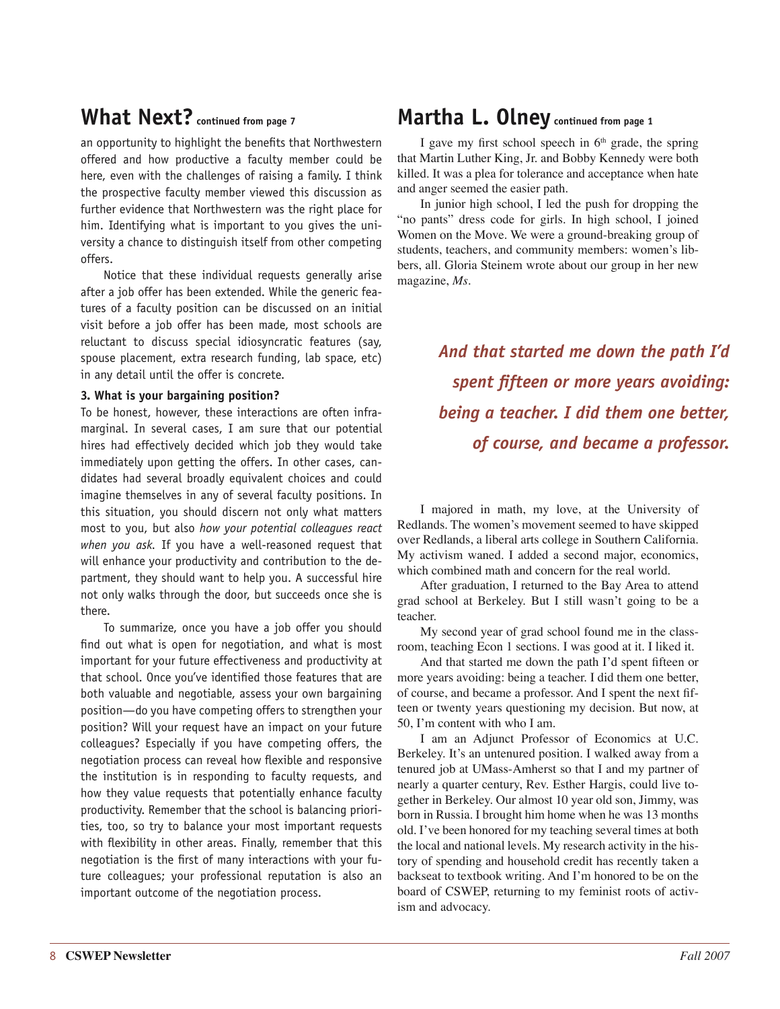# **What Next? continued from page 7**

an opportunity to highlight the benefits that Northwestern offered and how productive a faculty member could be here, even with the challenges of raising a family. I think the prospective faculty member viewed this discussion as further evidence that Northwestern was the right place for him. Identifying what is important to you gives the university a chance to distinguish itself from other competing offers.

Notice that these individual requests generally arise after a job offer has been extended. While the generic features of a faculty position can be discussed on an initial visit before a job offer has been made, most schools are reluctant to discuss special idiosyncratic features (say, spouse placement, extra research funding, lab space, etc) in any detail until the offer is concrete.

#### **3. What is your bargaining position?**

To be honest, however, these interactions are often inframarginal. In several cases, I am sure that our potential hires had effectively decided which job they would take immediately upon getting the offers. In other cases, candidates had several broadly equivalent choices and could imagine themselves in any of several faculty positions. In this situation, you should discern not only what matters most to you, but also *how your potential colleagues react when you ask.* If you have a well-reasoned request that will enhance your productivity and contribution to the department, they should want to help you. A successful hire not only walks through the door, but succeeds once she is there.

To summarize, once you have a job offer you should find out what is open for negotiation, and what is most important for your future effectiveness and productivity at that school. Once you've identified those features that are both valuable and negotiable, assess your own bargaining position—do you have competing offers to strengthen your position? Will your request have an impact on your future colleagues? Especially if you have competing offers, the negotiation process can reveal how flexible and responsive the institution is in responding to faculty requests, and how they value requests that potentially enhance faculty productivity. Remember that the school is balancing priorities, too, so try to balance your most important requests with flexibility in other areas. Finally, remember that this negotiation is the first of many interactions with your future colleagues; your professional reputation is also an important outcome of the negotiation process.

# **Martha L. Olney continued from page 1**

I gave my first school speech in  $6<sup>th</sup>$  grade, the spring that Martin Luther King, Jr. and Bobby Kennedy were both killed. It was a plea for tolerance and acceptance when hate and anger seemed the easier path.

In junior high school, I led the push for dropping the "no pants" dress code for girls. In high school, I joined Women on the Move. We were a ground-breaking group of students, teachers, and community members: women's libbers, all. Gloria Steinem wrote about our group in her new magazine, *Ms.*

> *And that started me down the path I'd spent fifteen or more years avoiding: being a teacher. I did them one better, of course, and became a professor.*

I majored in math, my love, at the University of Redlands. The women's movement seemed to have skipped over Redlands, a liberal arts college in Southern California. My activism waned. I added a second major, economics, which combined math and concern for the real world.

After graduation, I returned to the Bay Area to attend grad school at Berkeley. But I still wasn't going to be a teacher.

My second year of grad school found me in the classroom, teaching Econ 1 sections. I was good at it. I liked it.

And that started me down the path I'd spent fifteen or more years avoiding: being a teacher. I did them one better, of course, and became a professor. And I spent the next fifteen or twenty years questioning my decision. But now, at 50, I'm content with who I am.

I am an Adjunct Professor of Economics at U.C. Berkeley. It's an untenured position. I walked away from a tenured job at UMass-Amherst so that I and my partner of nearly a quarter century, Rev. Esther Hargis, could live together in Berkeley. Our almost 10 year old son, Jimmy, was born in Russia. I brought him home when he was 13 months old. I've been honored for my teaching several times at both the local and national levels. My research activity in the history of spending and household credit has recently taken a backseat to textbook writing. And I'm honored to be on the board of CSWEP, returning to my feminist roots of activism and advocacy.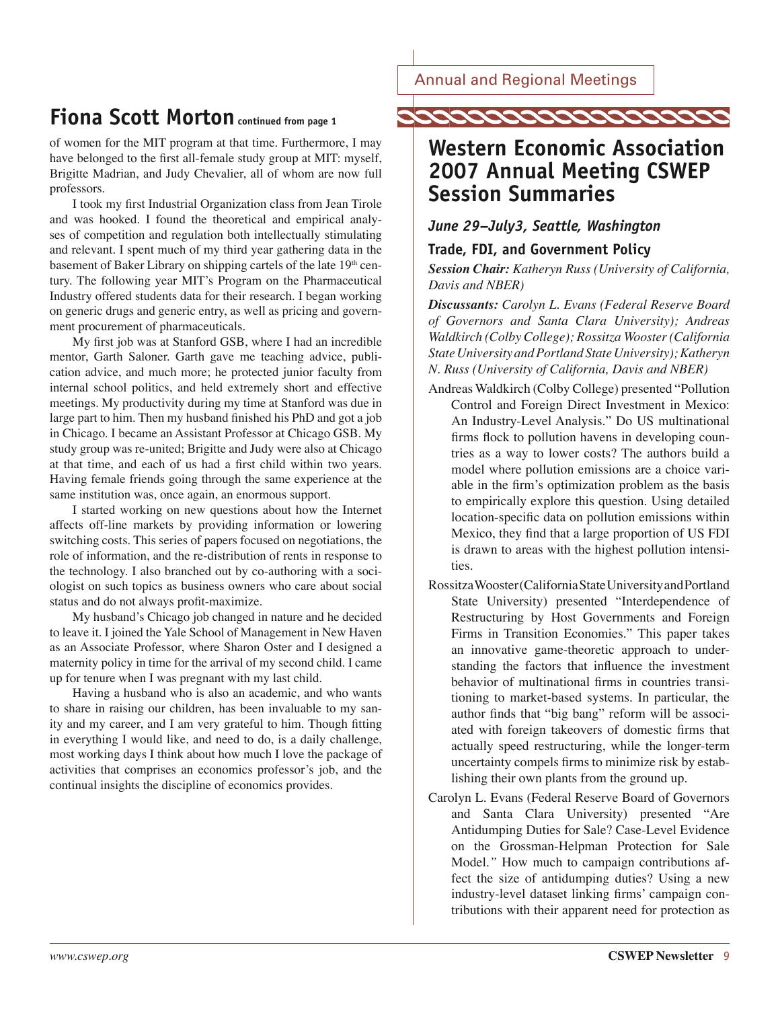Annual and Regional Meetings

# **Fiona Scott Morton continued from page 1**

of women for the MIT program at that time. Furthermore, I may have belonged to the first all-female study group at MIT: myself, Brigitte Madrian, and Judy Chevalier, all of whom are now full professors.

I took my first Industrial Organization class from Jean Tirole and was hooked. I found the theoretical and empirical analyses of competition and regulation both intellectually stimulating and relevant. I spent much of my third year gathering data in the basement of Baker Library on shipping cartels of the late 19<sup>th</sup> century. The following year MIT's Program on the Pharmaceutical Industry offered students data for their research. I began working on generic drugs and generic entry, as well as pricing and government procurement of pharmaceuticals.

My first job was at Stanford GSB, where I had an incredible mentor, Garth Saloner. Garth gave me teaching advice, publication advice, and much more; he protected junior faculty from internal school politics, and held extremely short and effective meetings. My productivity during my time at Stanford was due in large part to him. Then my husband finished his PhD and got a job in Chicago. I became an Assistant Professor at Chicago GSB. My study group was re-united; Brigitte and Judy were also at Chicago at that time, and each of us had a first child within two years. Having female friends going through the same experience at the same institution was, once again, an enormous support.

I started working on new questions about how the Internet affects off-line markets by providing information or lowering switching costs. This series of papers focused on negotiations, the role of information, and the re-distribution of rents in response to the technology. I also branched out by co-authoring with a sociologist on such topics as business owners who care about social status and do not always profit-maximize.

My husband's Chicago job changed in nature and he decided to leave it. I joined the Yale School of Management in New Haven as an Associate Professor, where Sharon Oster and I designed a maternity policy in time for the arrival of my second child. I came up for tenure when I was pregnant with my last child.

Having a husband who is also an academic, and who wants to share in raising our children, has been invaluable to my sanity and my career, and I am very grateful to him. Though fitting in everything I would like, and need to do, is a daily challenge, most working days I think about how much I love the package of activities that comprises an economics professor's job, and the continual insights the discipline of economics provides.



# **Western Economic Association 2007 Annual Meeting CSWEP Session Summaries**

## *June 29–July3, Seattle, Washington*

## **Trade, FDI, and Government Policy**

*Session Chair: Katheryn Russ (University of California, Davis and NBER)*

*Discussants: Carolyn L. Evans (Federal Reserve Board of Governors and Santa Clara University); Andreas Waldkirch (Colby College); Rossitza Wooster (California State University and Portland State University); Katheryn N. Russ (University of California, Davis and NBER)* 

- Andreas Waldkirch (Colby College) presented "Pollution Control and Foreign Direct Investment in Mexico: An Industry-Level Analysis." Do US multinational firms flock to pollution havens in developing countries as a way to lower costs? The authors build a model where pollution emissions are a choice variable in the firm's optimization problem as the basis to empirically explore this question. Using detailed location-specific data on pollution emissions within Mexico, they find that a large proportion of US FDI is drawn to areas with the highest pollution intensities.
- Rossitza Wooster (California State University and Portland State University) presented "Interdependence of Restructuring by Host Governments and Foreign Firms in Transition Economies." This paper takes an innovative game-theoretic approach to understanding the factors that influence the investment behavior of multinational firms in countries transitioning to market-based systems. In particular, the author finds that "big bang" reform will be associated with foreign takeovers of domestic firms that actually speed restructuring, while the longer-term uncertainty compels firms to minimize risk by establishing their own plants from the ground up.
- Carolyn L. Evans (Federal Reserve Board of Governors and Santa Clara University) presented "Are Antidumping Duties for Sale? Case-Level Evidence on the Grossman-Helpman Protection for Sale Model.*"* How much to campaign contributions affect the size of antidumping duties? Using a new industry-level dataset linking firms' campaign contributions with their apparent need for protection as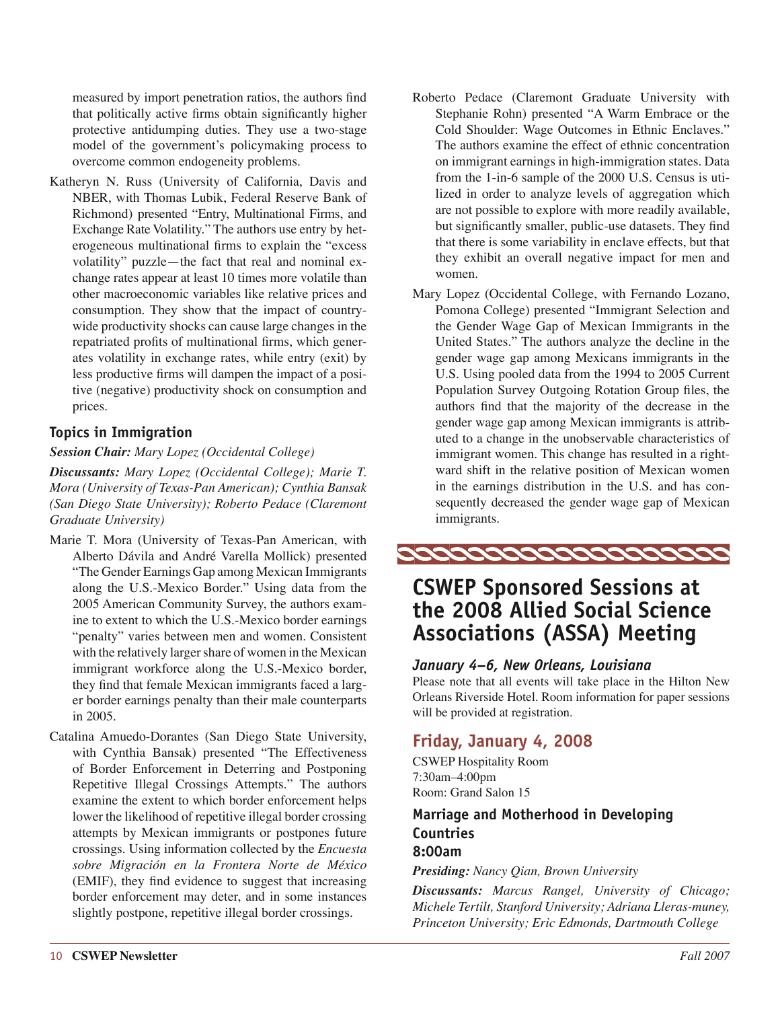measured by import penetration ratios, the authors find that politically active firms obtain significantly higher protective antidumping duties. They use a two-stage model of the government's policymaking process to overcome common endogeneity problems.

Katheryn N. Russ (University of California, Davis and NBER, with Thomas Lubik, Federal Reserve Bank of Richmond) presented "Entry, Multinational Firms, and Exchange Rate Volatility." The authors use entry by heterogeneous multinational firms to explain the "excess volatility" puzzle—the fact that real and nominal exchange rates appear at least 10 times more volatile than other macroeconomic variables like relative prices and consumption. They show that the impact of countrywide productivity shocks can cause large changes in the repatriated profits of multinational firms, which generates volatility in exchange rates, while entry (exit) by less productive firms will dampen the impact of a positive (negative) productivity shock on consumption and prices.

## **Topics in Immigration**

#### *Session Chair: Mary Lopez (Occidental College)*

*Discussants: Mary Lopez (Occidental College); Marie T. Mora (University of Texas-Pan American); Cynthia Bansak (San Diego State University); Roberto Pedace (Claremont Graduate University)*

- Marie T. Mora (University of Texas-Pan American, with Alberto Dávila and André Varella Mollick) presented "The Gender Earnings Gap among Mexican Immigrants along the U.S.-Mexico Border." Using data from the 2005 American Community Survey, the authors examine to extent to which the U.S.-Mexico border earnings "penalty" varies between men and women. Consistent with the relatively larger share of women in the Mexican immigrant workforce along the U.S.-Mexico border, they find that female Mexican immigrants faced a larger border earnings penalty than their male counterparts in 2005.
- Catalina Amuedo-Dorantes (San Diego State University, with Cynthia Bansak) presented "The Effectiveness of Border Enforcement in Deterring and Postponing Repetitive Illegal Crossings Attempts." The authors examine the extent to which border enforcement helps lower the likelihood of repetitive illegal border crossing attempts by Mexican immigrants or postpones future crossings. Using information collected by the *Encuesta sobre Migración en la Frontera Norte de México*  (EMIF), they find evidence to suggest that increasing border enforcement may deter, and in some instances slightly postpone, repetitive illegal border crossings.
- Roberto Pedace (Claremont Graduate University with Stephanie Rohn) presented "A Warm Embrace or the Cold Shoulder: Wage Outcomes in Ethnic Enclaves." The authors examine the effect of ethnic concentration on immigrant earnings in high-immigration states. Data from the 1-in-6 sample of the 2000 U.S. Census is utilized in order to analyze levels of aggregation which are not possible to explore with more readily available, but significantly smaller, public-use datasets. They find that there is some variability in enclave effects, but that they exhibit an overall negative impact for men and women.
- Mary Lopez (Occidental College, with Fernando Lozano, Pomona College) presented "Immigrant Selection and the Gender Wage Gap of Mexican Immigrants in the United States." The authors analyze the decline in the gender wage gap among Mexicans immigrants in the U.S. Using pooled data from the 1994 to 2005 Current Population Survey Outgoing Rotation Group files, the authors find that the majority of the decrease in the gender wage gap among Mexican immigrants is attributed to a change in the unobservable characteristics of immigrant women. This change has resulted in a rightward shift in the relative position of Mexican women in the earnings distribution in the U.S. and has consequently decreased the gender wage gap of Mexican immigrants.



# **CSWEP Sponsored Sessions at the 2008 Allied Social Science Associations (ASSA) Meeting**

## *January 4–6, New Orleans, Louisiana*

Please note that all events will take place in the Hilton New Orleans Riverside Hotel. Room information for paper sessions will be provided at registration.

## **Friday, January 4, 2008**

CSWEP Hospitality Room 7:30am–4:00pm Room: Grand Salon 15

## **Marriage and Motherhood in Developing Countries 8:00am**

*Presiding: Nancy Qian, Brown University* 

*Discussants: Marcus Rangel, University of Chicago; Michele Tertilt, Stanford University; Adriana Lleras-muney, Princeton University; Eric Edmonds, Dartmouth College*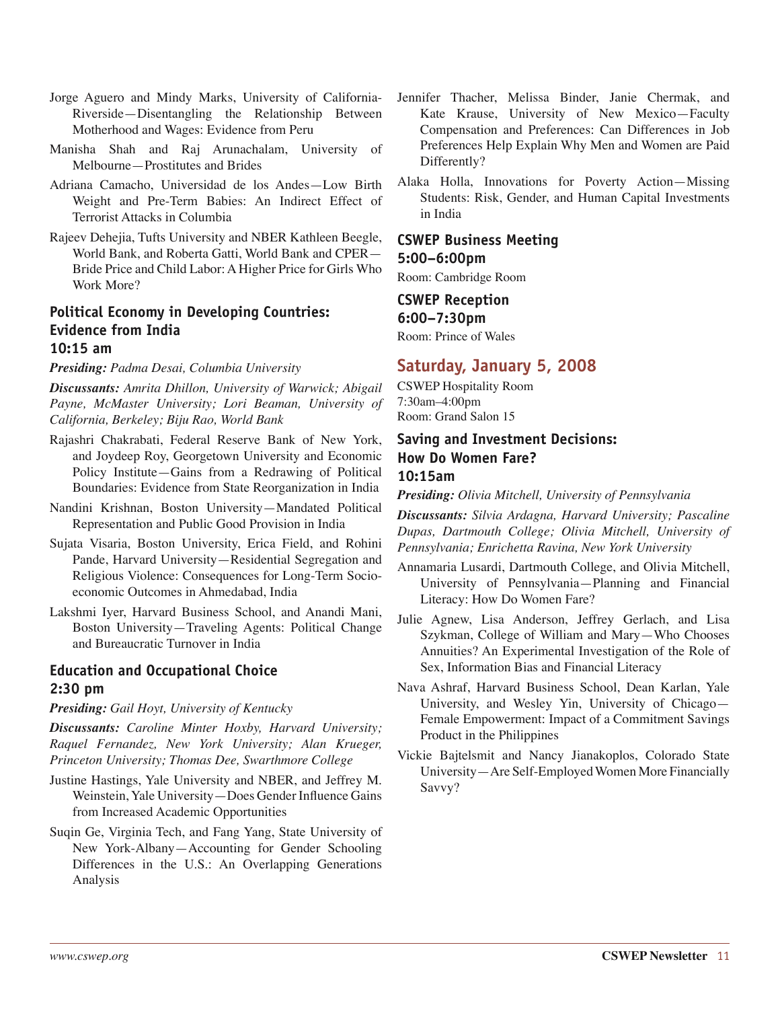- Jorge Aguero and Mindy Marks, University of California-Riverside—Disentangling the Relationship Between Motherhood and Wages: Evidence from Peru
- Manisha Shah and Raj Arunachalam, University of Melbourne—Prostitutes and Brides
- Adriana Camacho, Universidad de los Andes—Low Birth Weight and Pre-Term Babies: An Indirect Effect of Terrorist Attacks in Columbia
- Rajeev Dehejia, Tufts University and NBER Kathleen Beegle, World Bank, and Roberta Gatti, World Bank and CPER— Bride Price and Child Labor: A Higher Price for Girls Who Work More?

## **Political Economy in Developing Countries: Evidence from India 10:15 am**

*Presiding: Padma Desai, Columbia University* 

*Discussants: Amrita Dhillon, University of Warwick; Abigail Payne, McMaster University; Lori Beaman, University of California, Berkeley; Biju Rao, World Bank* 

- Rajashri Chakrabati, Federal Reserve Bank of New York, and Joydeep Roy, Georgetown University and Economic Policy Institute—Gains from a Redrawing of Political Boundaries: Evidence from State Reorganization in India
- Nandini Krishnan, Boston University—Mandated Political Representation and Public Good Provision in India
- Sujata Visaria, Boston University, Erica Field, and Rohini Pande, Harvard University—Residential Segregation and Religious Violence: Consequences for Long-Term Socioeconomic Outcomes in Ahmedabad, India
- Lakshmi Iyer, Harvard Business School, and Anandi Mani, Boston University—Traveling Agents: Political Change and Bureaucratic Turnover in India

## **Education and Occupational Choice 2:30 pm**

*Presiding: Gail Hoyt, University of Kentucky* 

*Discussants: Caroline Minter Hoxby, Harvard University; Raquel Fernandez, New York University; Alan Krueger, Princeton University; Thomas Dee, Swarthmore College* 

- Justine Hastings, Yale University and NBER, and Jeffrey M. Weinstein, Yale University—Does Gender Influence Gains from Increased Academic Opportunities
- Suqin Ge, Virginia Tech, and Fang Yang, State University of New York-Albany—Accounting for Gender Schooling Differences in the U.S.: An Overlapping Generations Analysis
- Jennifer Thacher, Melissa Binder, Janie Chermak, and Kate Krause, University of New Mexico—Faculty Compensation and Preferences: Can Differences in Job Preferences Help Explain Why Men and Women are Paid Differently?
- Alaka Holla, Innovations for Poverty Action—Missing Students: Risk, Gender, and Human Capital Investments in India

#### **CSWEP Business Meeting 5:00–6:00pm**

Room: Cambridge Room

# **CSWEP Reception 6:00–7:30pm**

Room: Prince of Wales

## **Saturday, January 5, 2008**

CSWEP Hospitality Room 7:30am–4:00pm Room: Grand Salon 15

## **Saving and Investment Decisions: How Do Women Fare? 10:15am**

*Presiding: Olivia Mitchell, University of Pennsylvania* 

*Discussants: Silvia Ardagna, Harvard University; Pascaline Dupas, Dartmouth College; Olivia Mitchell, University of Pennsylvania; Enrichetta Ravina, New York University* 

- Annamaria Lusardi, Dartmouth College, and Olivia Mitchell, University of Pennsylvania—Planning and Financial Literacy: How Do Women Fare?
- Julie Agnew, Lisa Anderson, Jeffrey Gerlach, and Lisa Szykman, College of William and Mary—Who Chooses Annuities? An Experimental Investigation of the Role of Sex, Information Bias and Financial Literacy
- Nava Ashraf, Harvard Business School, Dean Karlan, Yale University, and Wesley Yin, University of Chicago— Female Empowerment: Impact of a Commitment Savings Product in the Philippines
- Vickie Bajtelsmit and Nancy Jianakoplos, Colorado State University—Are Self-Employed Women More Financially Savvy?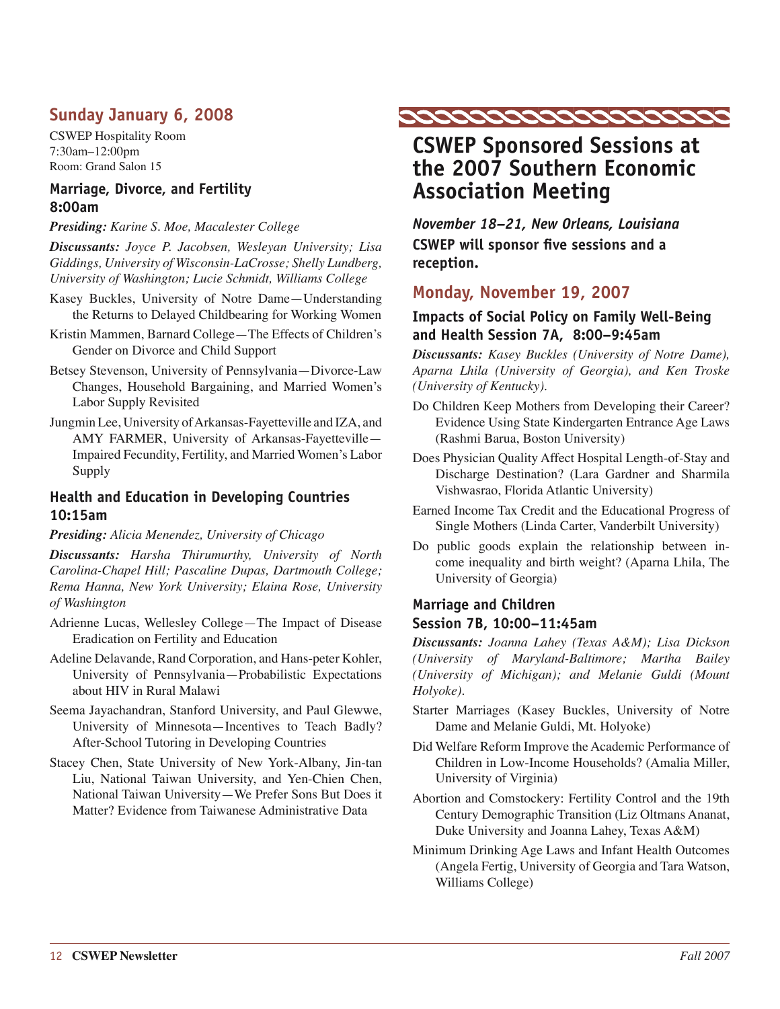# **Sunday January 6, 2008**

CSWEP Hospitality Room 7:30am–12:00pm Room: Grand Salon 15

## **Marriage, Divorce, and Fertility 8:00am**

#### *Presiding: Karine S. Moe, Macalester College*

*Discussants: Joyce P. Jacobsen, Wesleyan University; Lisa Giddings, University of Wisconsin-LaCrosse; Shelly Lundberg, University of Washington; Lucie Schmidt, Williams College* 

- Kasey Buckles, University of Notre Dame—Understanding the Returns to Delayed Childbearing for Working Women
- Kristin Mammen, Barnard College—The Effects of Children's Gender on Divorce and Child Support
- Betsey Stevenson, University of Pennsylvania—Divorce-Law Changes, Household Bargaining, and Married Women's Labor Supply Revisited
- Jungmin Lee, University of Arkansas-Fayetteville and IZA, and AMY FARMER, University of Arkansas-Fayetteville— Impaired Fecundity, Fertility, and Married Women's Labor Supply

## **Health and Education in Developing Countries 10:15am**

*Presiding: Alicia Menendez, University of Chicago* 

*Discussants: Harsha Thirumurthy, University of North Carolina-Chapel Hill; Pascaline Dupas, Dartmouth College; Rema Hanna, New York University; Elaina Rose, University of Washington* 

- Adrienne Lucas, Wellesley College—The Impact of Disease Eradication on Fertility and Education
- Adeline Delavande, Rand Corporation, and Hans-peter Kohler, University of Pennsylvania—Probabilistic Expectations about HIV in Rural Malawi
- Seema Jayachandran, Stanford University, and Paul Glewwe, University of Minnesota—Incentives to Teach Badly? After-School Tutoring in Developing Countries
- Stacey Chen, State University of New York-Albany, Jin-tan Liu, National Taiwan University, and Yen-Chien Chen, National Taiwan University—We Prefer Sons But Does it Matter? Evidence from Taiwanese Administrative Data



# **CSWEP Sponsored Sessions at the 2007 Southern Economic Association Meeting**

*November 18–21, New Orleans, Louisiana*  **CSWEP will sponsor five sessions and a reception.** 

# **Monday, November 19, 2007**

## **Impacts of Social Policy on Family Well-Being and Health Session 7A, 8:00–9:45am**

*Discussants: Kasey Buckles (University of Notre Dame), Aparna Lhila (University of Georgia), and Ken Troske (University of Kentucky).* 

- Do Children Keep Mothers from Developing their Career? Evidence Using State Kindergarten Entrance Age Laws (Rashmi Barua, Boston University)
- Does Physician Quality Affect Hospital Length-of-Stay and Discharge Destination? (Lara Gardner and Sharmila Vishwasrao, Florida Atlantic University)
- Earned Income Tax Credit and the Educational Progress of Single Mothers (Linda Carter, Vanderbilt University)
- Do public goods explain the relationship between income inequality and birth weight? (Aparna Lhila, The University of Georgia)

# **Marriage and Children**

## **Session 7B, 10:00–11:45am**

*Discussants: Joanna Lahey (Texas A&M); Lisa Dickson (University of Maryland-Baltimore; Martha Bailey (University of Michigan); and Melanie Guldi (Mount Holyoke).*

- Starter Marriages (Kasey Buckles, University of Notre Dame and Melanie Guldi, Mt. Holyoke)
- Did Welfare Reform Improve the Academic Performance of Children in Low-Income Households? (Amalia Miller, University of Virginia)
- Abortion and Comstockery: Fertility Control and the 19th Century Demographic Transition (Liz Oltmans Ananat, Duke University and Joanna Lahey, Texas A&M)
- Minimum Drinking Age Laws and Infant Health Outcomes (Angela Fertig, University of Georgia and Tara Watson, Williams College)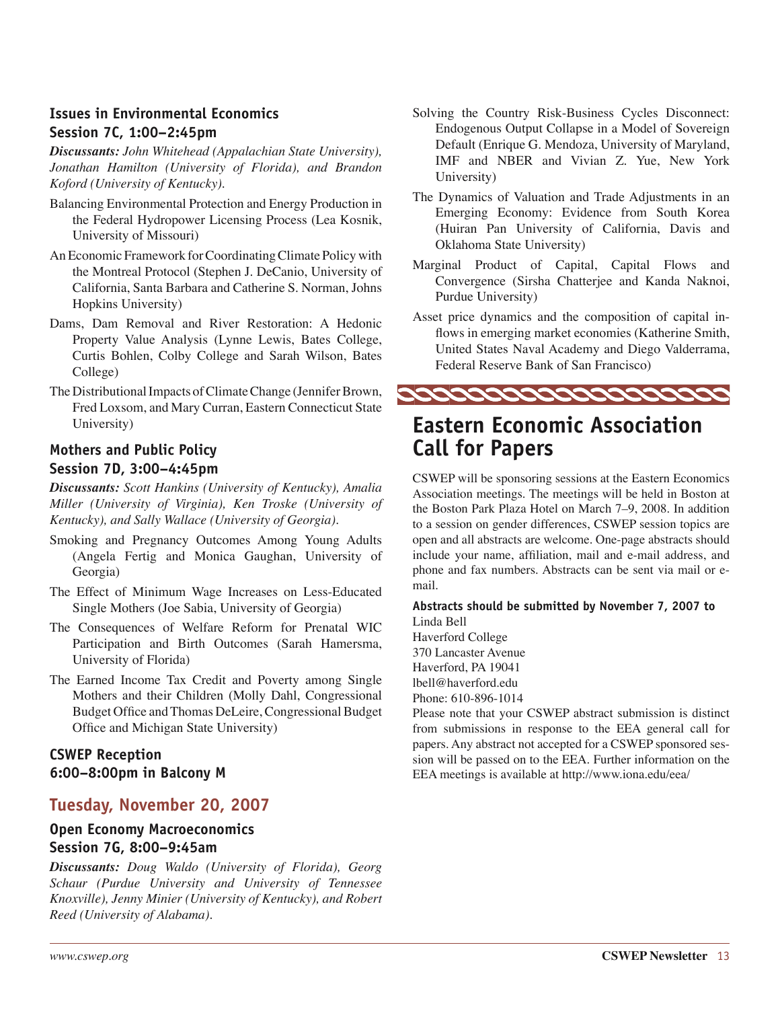## **Issues in Environmental Economics Session 7C, 1:00–2:45pm**

*Discussants: John Whitehead (Appalachian State University), Jonathan Hamilton (University of Florida), and Brandon Koford (University of Kentucky).* 

- Balancing Environmental Protection and Energy Production in the Federal Hydropower Licensing Process (Lea Kosnik, University of Missouri)
- An Economic Framework for Coordinating Climate Policy with the Montreal Protocol (Stephen J. DeCanio, University of California, Santa Barbara and Catherine S. Norman, Johns Hopkins University)
- Dams, Dam Removal and River Restoration: A Hedonic Property Value Analysis (Lynne Lewis, Bates College, Curtis Bohlen, Colby College and Sarah Wilson, Bates College)
- The Distributional Impacts of Climate Change (Jennifer Brown, Fred Loxsom, and Mary Curran, Eastern Connecticut State University)

## **Mothers and Public Policy Session 7D, 3:00–4:45pm**

*Discussants: Scott Hankins (University of Kentucky), Amalia Miller (University of Virginia), Ken Troske (University of Kentucky), and Sally Wallace (University of Georgia).* 

- Smoking and Pregnancy Outcomes Among Young Adults (Angela Fertig and Monica Gaughan, University of Georgia)
- The Effect of Minimum Wage Increases on Less-Educated Single Mothers (Joe Sabia, University of Georgia)
- The Consequences of Welfare Reform for Prenatal WIC Participation and Birth Outcomes (Sarah Hamersma, University of Florida)
- The Earned Income Tax Credit and Poverty among Single Mothers and their Children (Molly Dahl, Congressional Budget Office and Thomas DeLeire, Congressional Budget Office and Michigan State University)

## **CSWEP Reception 6:00–8:00pm in Balcony M**

## **Tuesday, November 20, 2007**

#### **Open Economy Macroeconomics Session 7G, 8:00–9:45am**

*Discussants: Doug Waldo (University of Florida), Georg Schaur (Purdue University and University of Tennessee Knoxville), Jenny Minier (University of Kentucky), and Robert Reed (University of Alabama).* 

- Solving the Country Risk-Business Cycles Disconnect: Endogenous Output Collapse in a Model of Sovereign Default (Enrique G. Mendoza, University of Maryland, IMF and NBER and Vivian Z. Yue, New York University)
- The Dynamics of Valuation and Trade Adjustments in an Emerging Economy: Evidence from South Korea (Huiran Pan University of California, Davis and Oklahoma State University)
- Marginal Product of Capital, Capital Flows and Convergence (Sirsha Chatterjee and Kanda Naknoi, Purdue University)
- Asset price dynamics and the composition of capital inflows in emerging market economies (Katherine Smith, United States Naval Academy and Diego Valderrama, Federal Reserve Bank of San Francisco)



# **Eastern Economic Association Call for Papers**

CSWEP will be sponsoring sessions at the Eastern Economics Association meetings. The meetings will be held in Boston at the Boston Park Plaza Hotel on March 7–9, 2008. In addition to a session on gender differences, CSWEP session topics are open and all abstracts are welcome. One-page abstracts should include your name, affiliation, mail and e-mail address, and phone and fax numbers. Abstracts can be sent via mail or email.

**Abstracts should be submitted by November 7, 2007 to**  Linda Bell

Haverford College 370 Lancaster Avenue Haverford, PA 19041 lbell@haverford.edu Phone: 610-896-1014

Please note that your CSWEP abstract submission is distinct from submissions in response to the EEA general call for papers. Any abstract not accepted for a CSWEP sponsored session will be passed on to the EEA. Further information on the EEA meetings is available at http://www.iona.edu/eea/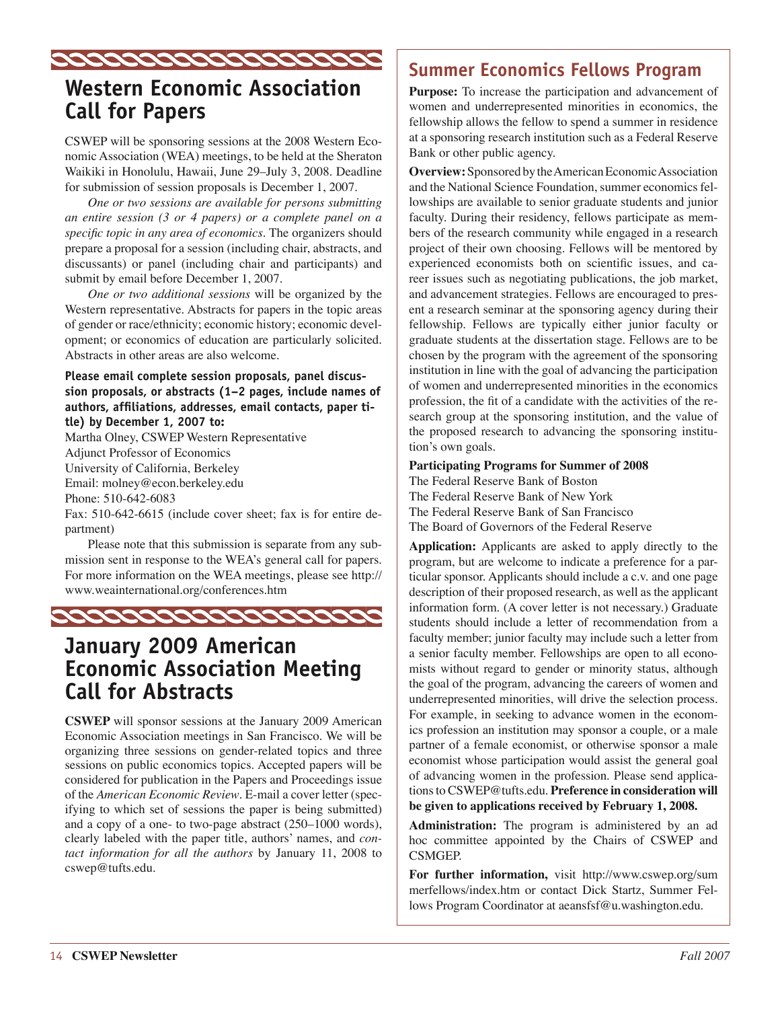

# **Western Economic Association Call for Papers**

CSWEP will be sponsoring sessions at the 2008 Western Economic Association (WEA) meetings, to be held at the Sheraton Waikiki in Honolulu, Hawaii, June 29–July 3, 2008. Deadline for submission of session proposals is December 1, 2007.

*One or two sessions are available for persons submitting an entire session (3 or 4 papers) or a complete panel on a specific topic in any area of economics.* The organizers should prepare a proposal for a session (including chair, abstracts, and discussants) or panel (including chair and participants) and submit by email before December 1, 2007.

*One or two additional sessions* will be organized by the Western representative. Abstracts for papers in the topic areas of gender or race/ethnicity; economic history; economic development; or economics of education are particularly solicited. Abstracts in other areas are also welcome.

#### **Please email complete session proposals, panel discussion proposals, or abstracts (1–2 pages, include names of authors, affiliations, addresses, email contacts, paper title) by December 1, 2007 to:**

Martha Olney, CSWEP Western Representative Adjunct Professor of Economics University of California, Berkeley Email: molney@econ.berkeley.edu Phone: 510-642-6083

Fax: 510-642-6615 (include cover sheet; fax is for entire department)

Please note that this submission is separate from any submission sent in response to the WEA's general call for papers. For more information on the WEA meetings, please see http:// www.weainternational.org/conferences.htm



# **January 2009 American Economic Association Meeting Call for Abstracts**

**CSWEP** will sponsor sessions at the January 2009 American Economic Association meetings in San Francisco. We will be organizing three sessions on gender-related topics and three sessions on public economics topics. Accepted papers will be considered for publication in the Papers and Proceedings issue of the *American Economic Review*. E-mail a cover letter (specifying to which set of sessions the paper is being submitted) and a copy of a one- to two-page abstract (250–1000 words), clearly labeled with the paper title, authors' names, and *contact information for all the authors* by January 11, 2008 to cswep@tufts.edu.

# **Summer Economics Fellows Program**

**Purpose:** To increase the participation and advancement of women and underrepresented minorities in economics, the fellowship allows the fellow to spend a summer in residence at a sponsoring research institution such as a Federal Reserve Bank or other public agency.

**Overview:** Sponsored by the American Economic Association and the National Science Foundation, summer economics fellowships are available to senior graduate students and junior faculty. During their residency, fellows participate as members of the research community while engaged in a research project of their own choosing. Fellows will be mentored by experienced economists both on scientific issues, and career issues such as negotiating publications, the job market, and advancement strategies. Fellows are encouraged to present a research seminar at the sponsoring agency during their fellowship. Fellows are typically either junior faculty or graduate students at the dissertation stage. Fellows are to be chosen by the program with the agreement of the sponsoring institution in line with the goal of advancing the participation of women and underrepresented minorities in the economics profession, the fit of a candidate with the activities of the research group at the sponsoring institution, and the value of the proposed research to advancing the sponsoring institution's own goals.

#### **Participating Programs for Summer of 2008**

The Federal Reserve Bank of Boston The Federal Reserve Bank of New York The Federal Reserve Bank of San Francisco The Board of Governors of the Federal Reserve

**Application:** Applicants are asked to apply directly to the program, but are welcome to indicate a preference for a particular sponsor. Applicants should include a c.v. and one page description of their proposed research, as well as the applicant information form. (A cover letter is not necessary.) Graduate students should include a letter of recommendation from a faculty member; junior faculty may include such a letter from a senior faculty member. Fellowships are open to all economists without regard to gender or minority status, although the goal of the program, advancing the careers of women and underrepresented minorities, will drive the selection process. For example, in seeking to advance women in the economics profession an institution may sponsor a couple, or a male partner of a female economist, or otherwise sponsor a male economist whose participation would assist the general goal of advancing women in the profession. Please send applications to CSWEP@tufts.edu. **Preference in consideration will be given to applications received by February 1, 2008.**

**Administration:** The program is administered by an ad hoc committee appointed by the Chairs of CSWEP and CSMGEP.

**For further information,** visit http://www.cswep.org/sum merfellows/index.htm or contact Dick Startz, Summer Fellows Program Coordinator at aeansfsf@u.washington.edu.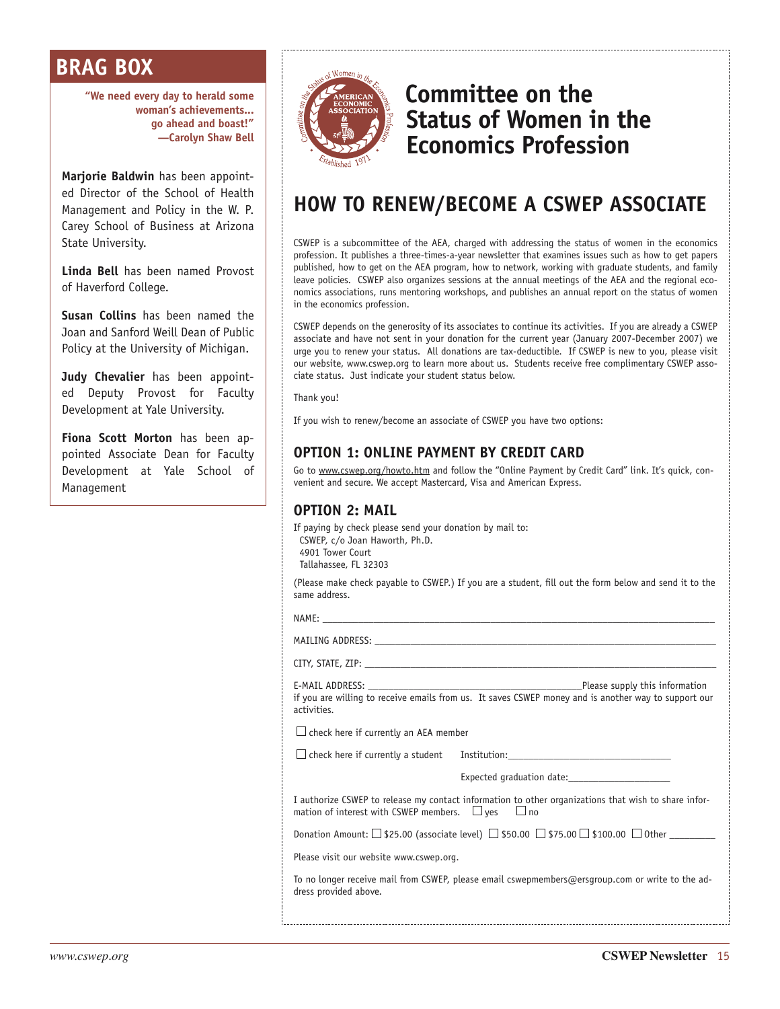# **BRAG BOX**

**"We need every day to herald some woman's achievements... go ahead and boast!" —Carolyn Shaw Bell**

**Marjorie Baldwin** has been appointed Director of the School of Health Management and Policy in the W. P. Carey School of Business at Arizona State University.

**Linda Bell** has been named Provost of Haverford College.

**Susan Collins** has been named the Joan and Sanford Weill Dean of Public Policy at the University of Michigan.

**Judy Chevalier** has been appointed Deputy Provost for Faculty Development at Yale University.

**Fiona Scott Morton** has been appointed Associate Dean for Faculty Development at Yale School of Management



# **Committee on the Status of Women in the Economics Profession**

# **HOW TO RENEW/BECOME A CSWEP ASSOCIATE**

CSWEP is a subcommittee of the AEA, charged with addressing the status of women in the economics profession. It publishes a three-times-a-year newsletter that examines issues such as how to get papers published, how to get on the AEA program, how to network, working with graduate students, and family leave policies. CSWEP also organizes sessions at the annual meetings of the AEA and the regional economics associations, runs mentoring workshops, and publishes an annual report on the status of women in the economics profession.

CSWEP depends on the generosity of its associates to continue its activities. If you are already a CSWEP associate and have not sent in your donation for the current year (January 2007-December 2007) we urge you to renew your status. All donations are tax-deductible. If CSWEP is new to you, please visit our website, www.cswep.org to learn more about us. Students receive free complimentary CSWEP associate status. Just indicate your student status below.

Thank you!

If you wish to renew/become an associate of CSWEP you have two options:

## **OPTION 1: ONLINE PAYMENT BY CREDIT CARD**

Go to www.cswep.org/howto.htm and follow the "Online Payment by Credit Card" link. It's quick, convenient and secure. We accept Mastercard, Visa and American Express.

## **OPTION 2: MAIL**

If paying by check please send your donation by mail to: CSWEP, c/o Joan Haworth, Ph.D. 4901 Tower Court

Tallahassee, FL 32303

(Please make check payable to CSWEP.) If you are a student, fill out the form below and send it to the same address.

NAME: \_\_\_\_\_\_\_\_\_\_\_\_\_\_\_\_\_\_\_\_\_\_\_\_\_\_\_\_\_\_\_\_\_\_\_\_\_\_\_\_\_\_\_\_\_\_\_\_\_\_\_\_\_\_\_\_\_\_\_\_\_\_\_\_\_\_\_\_\_\_\_\_\_\_\_\_\_

MAILING ADDRESS:

CITY, STATE, ZIP:

E-MAIL ADDRESS: \_\_\_\_\_\_\_\_\_\_\_\_\_\_\_\_\_\_\_\_\_\_\_\_\_\_\_\_\_\_\_\_\_\_\_\_\_\_\_\_\_\_Please supply this information if you are willing to receive emails from us. It saves CSWEP money and is another way to support our activities.

 $\Box$  check here if currently an AEA member

 $\square$  check here if currently a student Institution:

Expected graduation date:

I authorize CSWEP to release my contact information to other organizations that wish to share information of interest with CSWEP members.  $\Box$  yes  $\Box$  no

Donation Amount:  $\Box$  \$25.00 (associate level)  $\Box$  \$50.00  $\Box$  \$75.00  $\Box$  \$100.00  $\Box$  Other  $\Box$ 

Please visit our website www.cswep.org.

To no longer receive mail from CSWEP, please email cswepmembers@ersgroup.com or write to the address provided above.